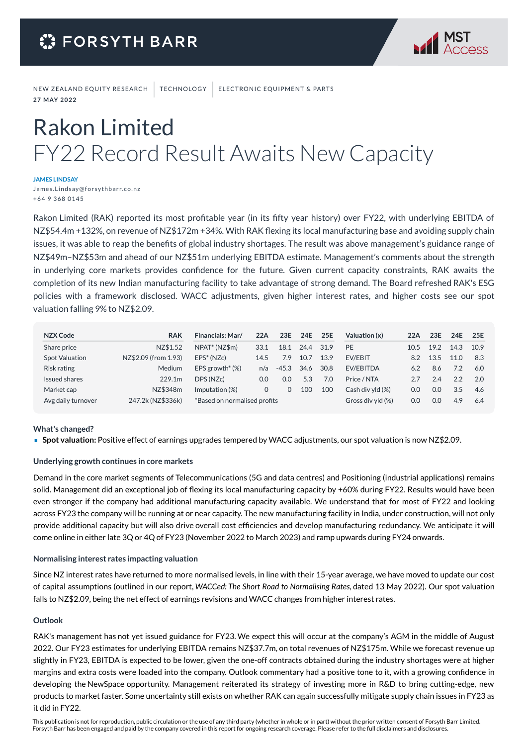

NEW ZEALAND EQUITY RESEARCH | TECHNOLOGY | ELECTRONIC EQUIPMENT & PARTS **2 7 M AY 2 0 2 2**

# Rakon Limited FY22 Record Result Awaits New Capacity

#### **JAMES LINDSAY**

James. Linds ay@forsythbarr.co.nz + 64 9 368 0145

Rakon Limited (RAK) reported its most profitable year (in its fifty year history) over FY22, with underlying EBITDA of NZ\$54.4m +132%, on revenue of NZ\$172m +34%. With RAK flexing its local manufacturing base and avoiding supply chain issues, it was able to reap the benefits of global industry shortages. The result was above management's guidance range of NZ\$49m–NZ\$53m and ahead of our NZ\$51m underlying EBITDA estimate. Management's comments about the strength in underlying core markets provides confidence for the future. Given current capacity constraints, RAK awaits the completion of its new Indian manufacturing facility to take advantage of strong demand. The Board refreshed RAK's ESG policies with a framework disclosed. WACC adjustments, given higher interest rates, and higher costs see our spot valuation falling 9% to NZ\$2.09.

| NZX Code           | <b>RAK</b>           | Financials: Mar/             | 22A  | 23E     | 24E  | 25E  | Valuation (x)     | 22A  | 23E  | 24E  | 25E  |
|--------------------|----------------------|------------------------------|------|---------|------|------|-------------------|------|------|------|------|
| Share price        | NZ\$1.52             | NPAT <sup>*</sup> (NZ\$m)    | 33.1 | 18.1    | 24.4 | 31.9 | PE                | 10.5 | 19.2 | 14.3 | 10.9 |
| Spot Valuation     | NZ\$2.09 (from 1.93) | $EPS^* (NZc)$                | 14.5 | 7.9     | 10.7 | 13.9 | <b>EV/EBIT</b>    | 8.2  | 13.5 | 11.0 | 8.3  |
| Risk rating        | <b>Medium</b>        | EPS growth <sup>*</sup> (%)  | n/a  | $-45.3$ | 34.6 | 30.8 | EV/EBITDA         | 6.2  | 8.6  | 7.2  | 6.0  |
| Issued shares      | 229.1m               | DPS (NZc)                    | 0.0  | 0.0     | 5.3  | 7.0  | Price / NTA       |      | 2.4  | 2.2  | 2.0  |
| Market cap         | NZ\$348m             | Imputation (%)               | 0    |         | 100  | 100  | Cash div vld (%)  | 0.0  | 0.0  | 3.5  | 4.6  |
| Avg daily turnover | 247.2k (NZ\$336k)    | *Based on normalised profits |      |         |      |      | Gross div yld (%) | 0.0  | 0.0  | 4.9  | 6.4  |

#### **What's changed?**

**Spot valuation:** Positive effect of earnings upgrades tempered by WACC adjustments, our spot valuation is now NZ\$2.09.

#### **Underlying growth continues in core markets**

Demand in the core market segments of Telecommunications (5G and data centres) and Positioning (industrial applications) remains solid. Management did an exceptional job of flexing its local manufacturing capacity by +60% during FY22. Results would have been even stronger if the company had additional manufacturing capacity available. We understand that for most of FY22 and looking across FY23 the company will be running at or near capacity. The new manufacturing facility in India, under construction, will not only provide additional capacity but will also drive overall cost efficiencies and develop manufacturing redundancy. We anticipate it will come online in either late 3Q or 4Q of FY23 (November 2022 to March 2023) and ramp upwards during FY24 onwards.

#### **Normalising interest rates impacting valuation**

Since NZ interest rates have returned to more normalised levels, in line with their 15-year average, we have moved to update our cost of capital assumptions (outlined in our report, *WACCed: The Short Road to Normalising Rates,* dated 13 May 2022). Our spot valuation falls to NZ\$2.09, being the net effect of earnings revisions and WACC changes from higher interest rates.

#### **Outlook**

RAK's management has not yet issued guidance for FY23. We expect this will occur at the company's AGM in the middle of August 2022. Our FY23 estimates for underlying EBITDA remains NZ\$37.7m, on total revenues of NZ\$175m. While we forecast revenue up slightly in FY23, EBITDA is expected to be lower, given the one-off contracts obtained during the industry shortages were at higher margins and extra costs were loaded into the company. Outlook commentary had a positive tone to it, with a growing confidence in developing the NewSpace opportunity. Management reiterated its strategy of investing more in R&D to bring cutting-edge, new products to market faster. Some uncertainty still exists on whether RAK can again successfully mitigate supply chain issues in FY23 as it did in FY22.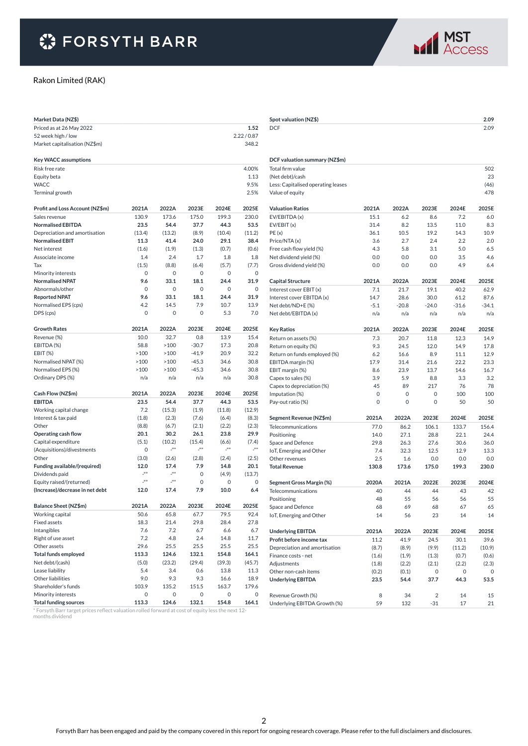

#### Rakon Limited (RAK)

| Market Data (NZ\$)                     |              |                           |              |              |               |
|----------------------------------------|--------------|---------------------------|--------------|--------------|---------------|
| Priced as at 26 May 2022               |              |                           |              |              | 1.52          |
| 52 week high / low                     |              |                           |              |              | 2.22/0.87     |
| Market capitalisation (NZ\$m)          |              |                           |              |              | 348.2         |
|                                        |              |                           |              |              |               |
| <b>Key WACC assumptions</b>            |              |                           |              |              |               |
| Risk free rate                         |              |                           |              |              | 4.00%         |
| Equity beta                            |              |                           |              |              | 1.13          |
| <b>WACC</b>                            |              |                           |              |              | 9.5%          |
| Terminal growth                        |              |                           |              |              | 2.5%          |
| Profit and Loss Account (NZ\$m)        | 2021A        | 2022A                     | 2023E        | 2024E        | 2025E         |
| Sales revenue                          | 130.9        | 173.6                     | 175.0        | 199.3        | 230.0         |
| <b>Normalised EBITDA</b>               | 23.5         | 54.4                      | 37.7         | 44.3         | 53.5          |
| Depreciation and amortisation          | (13.4)       | (13.2)                    | (8.9)        | (10.4)       | (11.2)        |
| <b>Normalised EBIT</b>                 | 11.3         | 41.4                      | 24.0         | 29.1         | 38.4          |
| Net interest                           | (1.6)        | (1.9)                     | (1.3)        | (0.7)        | (0.6)         |
| Associate income                       | 1.4          | 2.4                       | 1.7          | 1.8          | 1.8           |
| Tax                                    | (1.5)        | (8.8)                     | (6.4)        | (5.7)        | (7.7)         |
| Minority interests                     | 0            | 0                         | 0            | 0            | 0             |
| <b>Normalised NPAT</b>                 | 9.6          | 33.1                      | 18.1         | 24.4         | 31.9          |
| Abnormals/other                        | 0            | 0                         | 0            | 0            | $\Omega$      |
| <b>Reported NPAT</b>                   | 9.6          | 33.1                      | 18.1         | 24.4         | 31.9          |
| Normalised EPS (cps)                   | 4.2          | 14.5                      | 7.9          | 10.7         | 13.9          |
| DPS (cps)                              | 0            | 0                         | 0            | 5.3          | 7.0           |
|                                        |              |                           |              |              |               |
| <b>Growth Rates</b>                    | 2021A        | 2022A                     | 2023E        | 2024E        | 2025E         |
| Revenue (%)                            | 10.0         | 32.7                      | 0.8          | 13.9         | 15.4          |
| EBITDA (%)                             | 58.8         | >100                      | $-30.7$      | 17.3         | 20.8          |
| EBIT (%)                               | >100         | >100                      | $-41.9$      | 20.9         | 32.2          |
| Normalised NPAT (%)                    | >100         | >100                      | $-45.3$      | 34.6         | 30.8          |
| Normalised EPS (%)                     | >100         | >100                      | $-45.3$      | 34.6         | 30.8          |
| Ordinary DPS (%)                       | n/a          | n/a                       | n/a          | n/a          | 30.8          |
| Cash Flow (NZ\$m)                      | 2021A        | 2022A                     | 2023E        | 2024E        | 2025E         |
| <b>EBITDA</b>                          | 23.5         | 54.4                      | 37.7         | 44.3         | 53.5          |
| Working capital change                 | 7.2          | (15.3)                    | (1.9)        | (11.8)       | (12.9)        |
| Interest & tax paid                    | (1.8)        | (2.3)                     | (7.6)        | (6.4)        | (8.3)         |
| Other                                  | (8.8)        | (6.7)                     | (2.1)        | (2.2)        | (2.3)         |
| Operating cash flow                    | 20.1         | 30.2                      | 26.1         | 23.8         | 29.9          |
| Capital expenditure                    | (5.1)        | (10.2)                    | (15.4)       | (6.6)        | (7.4)         |
| (Acquisitions)/divestments             | 0            | $\mathbb{Z}^{n \times n}$ | 200          | 200          | 200           |
| Other                                  | (3.0)        | (2.6)                     | (2.8)        | (2.4)        | (2.5)         |
| Funding available/(required)           | 12.0         | 17.4                      | 7.9          | 14.8         | 20.1          |
| Dividends paid                         | 200          | 200                       | 0            | (4.9)        | (13.7)        |
| Equity raised/(returned)               | ja.          | 200                       | 0            | 0            | 0             |
| (Increase)/decrease in net debt        | 12.0         | 17.4                      | 7.9          | 10.0         | 6.4           |
| Balance Sheet (NZ\$m)                  | 2021A        | 2022A                     | 2023E        | 2024E        | 2025E         |
|                                        |              |                           |              |              |               |
| Working capital<br><b>Fixed assets</b> | 50.6<br>18.3 | 65.8<br>21.4              | 67.7<br>29.8 | 79.5<br>28.4 | 92.4<br>27.8  |
| Intangibles                            | 7.6          | 7.2                       | 6.7          | 6.6          | 6.7           |
|                                        | 7.2          |                           |              |              |               |
| Right of use asset<br>Other assets     | 29.6         | 4.8<br>25.5               | 2.4<br>25.5  | 14.8<br>25.5 | 11.7<br>25.5  |
|                                        | 113.3        | 124.6                     |              | 154.8        |               |
| <b>Total funds employed</b>            |              |                           | 132.1        |              | 164.1         |
| Net debt/(cash)<br>Lease liability     | (5.0)<br>5.4 | (23.2)<br>3.4             | (29.4)       | (39.3)       | (45.7)        |
| Other liabilities                      |              |                           | 0.6          | 13.8<br>16.6 | 11.3          |
| Shareholder's funds                    | 9.0<br>103.9 | 9.3<br>135.2              | 9.3<br>151.5 | 163.7        | 18.9<br>179.6 |
| Minority interests                     | 0            | 0                         | 0            | 0            | 0             |
| <b>Total funding sources</b>           | 113.3        | 124.6                     | 132.1        | 154.8        | 164.1         |

\* Forsyth Barr target prices reflect valuation rolled forward at cost of equity less the next 12- months dividend

| Spot valuation (NZ\$)              |               |              |              |              | 2.09         |
|------------------------------------|---------------|--------------|--------------|--------------|--------------|
| <b>DCF</b>                         |               |              |              |              | 2.09         |
|                                    |               |              |              |              |              |
|                                    |               |              |              |              |              |
|                                    |               |              |              |              |              |
| DCF valuation summary (NZ\$m)      |               |              |              |              |              |
| Total firm value                   |               |              |              |              | 502          |
| (Net debt)/cash                    |               |              |              |              | 23           |
| Less: Capitalised operating leases |               |              |              |              | (46)         |
| Value of equity                    |               |              |              |              | 478          |
|                                    |               |              |              |              |              |
| <b>Valuation Ratios</b>            | 2021A<br>15.1 | 2022A<br>6.2 | 2023E<br>8.6 | 2024E<br>7.2 | 2025E<br>6.0 |
| EV/EBITDA (x)<br>EV/EBIT(x)        | 31.4          | 8.2          | 13.5         | 11.0         | 8.3          |
| PE(x)                              | 36.1          | 10.5         | 19.2         | 14.3         | 10.9         |
| Price/NTA (x)                      | 3.6           | 2.7          | 2.4          | 2.2          | 2.0          |
| Free cash flow yield (%)           | 4.3           | 5.8          | 3.1          | 5.0          | 6.5          |
| Net dividend yield (%)             | 0.0           | 0.0          | 0.0          | 3.5          | 4.6          |
| Gross dividend yield (%)           | 0.0           | 0.0          | 0.0          | 4.9          | 6.4          |
|                                    |               |              |              |              |              |
| <b>Capital Structure</b>           | 2021A         | 2022A        | 2023E        | 2024E        | 2025E        |
| Interest cover EBIT (x)            | 7.1           | 21.7         | 19.1         | 40.2         | 62.9         |
| Interest cover EBITDA (x)          | 14.7          | 28.6         | 30.0         | 61.2         | 87.6         |
| Net debt/ND+E (%)                  | $-5.1$        | $-20.8$      | $-24.0$      | $-31.6$      | $-34.1$      |
| Net debt/EBITDA (x)                | n/a           | n/a          | n/a          | n/a          | n/a          |
|                                    |               |              |              |              |              |
| <b>Key Ratios</b>                  | 2021A         | 2022A        | 2023E        | 2024E        | 2025E        |
| Return on assets (%)               | 7.3           | 20.7         | 11.8         | 12.3         | 14.9         |
| Return on equity (%)               | 9.3           | 24.5         | 12.0         | 14.9         | 17.8         |
| Return on funds employed (%)       | 6.2           | 16.6         | 8.9          | 11.1         | 12.9         |
| EBITDA margin (%)                  | 17.9          | 31.4         | 21.6         | 22.2         | 23.3         |
| EBIT margin (%)                    | 8.6           | 23.9         | 13.7         | 14.6         | 16.7         |
| Capex to sales (%)                 | 3.9           | 5.9          | 8.8          | 3.3          | 3.2          |
| Capex to depreciation (%)          | 45            | 89           | 217          | 76           | 78           |
| Imputation (%)                     | 0             | 0            | 0            | 100          | 100          |
| Pay-out ratio (%)                  | 0             | 0            | 0            | 50           | 50           |
| Segment Revenue (NZ\$m)            | 2021A         | 2022A        | 2023E        | 2024E        | 2025E        |
| Telecommunications                 | 77.0          | 86.2         | 106.1        | 133.7        | 156.4        |
| Positioning                        | 14.0          | 27.1         | 28.8         | 22.1         | 24.4         |
| Space and Defence                  | 29.8          | 26.3         | 27.6         | 30.6         | 36.0         |
| IoT, Emerging and Other            | 7.4           | 32.3         | 12.5         | 12.9         | 13.3         |
| Other revenues                     | 2.5           | 1.6          | 0.0          | 0.0          | 0.0          |
| <b>Total Revenue</b>               | 130.8         | 173.6        | 175.0        | 199.3        | 230.0        |
|                                    |               |              |              |              |              |
| Segment Gross Margin (%)           | 2020A         | 2021A        | 2022E        | 2023E        | 2024E        |
| Telecommunications                 | 40            | 44           | 44           | 43           | 42           |
| Positioning                        | 48            | 55           | 56           | 56           | 55           |
| Space and Defence                  | 68            | 69           | 68           | 67           | 65           |
| IoT, Emerging and Other            | 14            | 56           | 23           | 14           | 14           |
| <b>Underlying EBITDA</b>           | 2021A         | 2022A        | 2023E        | 2024E        | 2025E        |
| Profit before income tax           | 11.2          | 41.9         | 24.5         | 30.1         | 39.6         |
| Depreciation and amortisation      | (8.7)         | (8.9)        | (9.9)        | (11.2)       | (10.9)       |
| Finance costs - net                | (1.6)         | (1.9)        | (1.3)        | (0.7)        | (0.6)        |
| Adjustments                        | (1.8)         | (2.2)        | (2.1)        | (2.2)        | (2.3)        |
| Other non-cash items               | (0.2)         | (0.1)        | 0            | 0            | 0            |
| <b>Underlying EBITDA</b>           | 23.5          | 54.4         | 37.7         | 44.3         | 53.5         |
|                                    |               |              |              |              |              |
| Revenue Growth (%)                 | 8             | 34           | 2            | 14           | 15           |
| Underlying EBITDA Growth (%)       | 59            | 132          | $-31$        | 17           | 21           |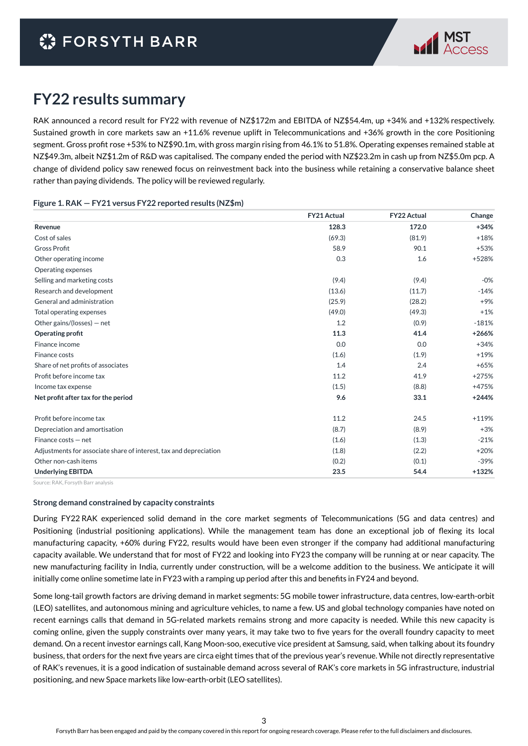

### **FY22 results summary**

RAK announced a record result for FY22 with revenue of NZ\$172m and EBITDA of NZ\$54.4m, up +34% and +132% respectively. Sustained growth in core markets saw an +11.6% revenue uplift in Telecommunications and +36% growth in the core Positioning segment. Gross profit rose +53% to NZ\$90.1m, with gross margin rising from 46.1% to 51.8%. Operating expenses remained stable at NZ\$49.3m, albeit NZ\$1.2m of R&D was capitalised. The company ended the period with NZ\$23.2m in cash up from NZ\$5.0m pcp. A change of dividend policy saw renewed focus on reinvestment back into the business while retaining a conservative balance sheet rather than paying dividends. The policy will be reviewed regularly.

#### **Figure 1. RAK — FY21 versus FY22 reported results (NZ\$m)**

|                                                                   | <b>FY21 Actual</b> | <b>FY22 Actual</b> | Change  |
|-------------------------------------------------------------------|--------------------|--------------------|---------|
| Revenue                                                           | 128.3              | 172.0              | $+34%$  |
| Cost of sales                                                     | (69.3)             | (81.9)             | $+18%$  |
| <b>Gross Profit</b>                                               | 58.9               | 90.1               | $+53%$  |
| Other operating income                                            | 0.3                | 1.6                | +528%   |
| Operating expenses                                                |                    |                    |         |
| Selling and marketing costs                                       | (9.4)              | (9.4)              | $-0%$   |
| Research and development                                          | (13.6)             | (11.7)             | $-14%$  |
| General and administration                                        | (25.9)             | (28.2)             | $+9%$   |
| Total operating expenses                                          | (49.0)             | (49.3)             | $+1%$   |
| Other gains/(losses) $-$ net                                      | 1.2                | (0.9)              | $-181%$ |
| Operating profit                                                  | 11.3               | 41.4               | $+266%$ |
| Finance income                                                    | 0.0                | 0.0                | $+34%$  |
| Finance costs                                                     | (1.6)              | (1.9)              | $+19%$  |
| Share of net profits of associates                                | 1.4                | 2.4                | $+65%$  |
| Profit before income tax                                          | 11.2               | 41.9               | $+275%$ |
| Income tax expense                                                | (1.5)              | (8.8)              | +475%   |
| Net profit after tax for the period                               | 9.6                | 33.1               | $+244%$ |
| Profit before income tax                                          | 11.2               | 24.5               | $+119%$ |
| Depreciation and amortisation                                     | (8.7)              | (8.9)              | $+3%$   |
| Finance costs - net                                               | (1.6)              | (1.3)              | $-21%$  |
| Adjustments for associate share of interest, tax and depreciation | (1.8)              | (2.2)              | $+20%$  |
| Other non-cash items                                              | (0.2)              | (0.1)              | $-39%$  |
| <b>Underlying EBITDA</b>                                          | 23.5               | 54.4               | $+132%$ |

Source: RAK, Forsyth Barr analysis

#### **Strong demand constrained by capacity constraints**

During FY22 RAK experienced solid demand in the core market segments of Telecommunications (5G and data centres) and Positioning (industrial positioning applications). While the management team has done an exceptional job of flexing its local manufacturing capacity, +60% during FY22, results would have been even stronger if the company had additional manufacturing capacity available. We understand that for most of FY22 and looking into FY23 the company will be running at or near capacity. The new manufacturing facility in India, currently under construction, will be a welcome addition to the business. We anticipate it will initially come online sometime late in FY23 with a ramping up period after this and benefits in FY24 and beyond.

Some long-tail growth factors are driving demand in market segments: 5G mobile tower infrastructure, data centres, low-earth-orbit (LEO) satellites, and autonomous mining and agriculture vehicles, to name a few. US and global technology companies have noted on recent earnings calls that demand in 5G-related markets remains strong and more capacity is needed. While this new capacity is coming online, given the supply constraints over many years, it may take two to five years for the overall foundry capacity to meet demand. On a recent investor earnings call, Kang Moon-soo, executive vice president at Samsung, said, when talking about its foundry business, that orders for the next five years are circa eight times that of the previous year's revenue. While not directly representative of RAK's revenues, it is a good indication of sustainable demand across several of RAK's core markets in 5G infrastructure, industrial positioning, and new Space markets like low-earth-orbit (LEO satellites).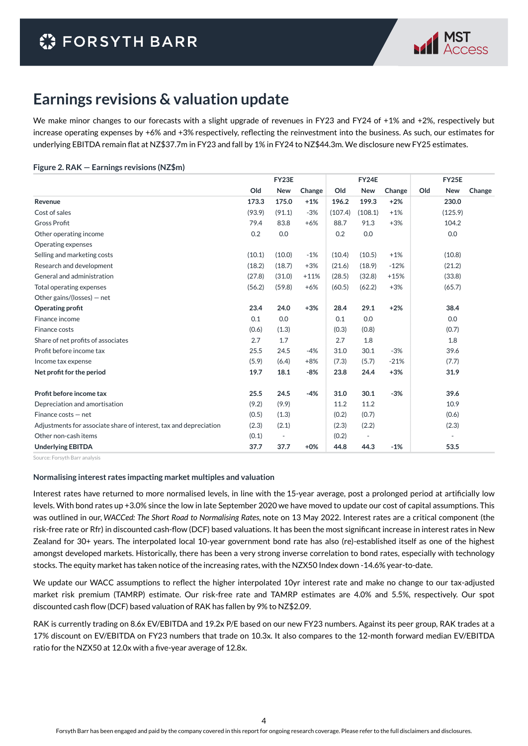

### **Earnings revisions & valuation update**

We make minor changes to our forecasts with a slight upgrade of revenues in FY23 and FY24 of +1% and +2%, respectively but increase operating expenses by +6% and +3% respectively, reflecting the reinvestment into the business. As such, our estimates for underlying EBITDA remain flat at NZ\$37.7m in FY23 and fall by 1% in FY24 to NZ\$44.3m. We disclosure new FY25 estimates.

#### **Figure 2. RAK — Earnings revisions (NZ\$m)**

|                                                                   | FY23E  |            |        | FY24E   |            |        | <b>FY25E</b>      |        |  |
|-------------------------------------------------------------------|--------|------------|--------|---------|------------|--------|-------------------|--------|--|
|                                                                   | Old    | <b>New</b> | Change | Old     | <b>New</b> | Change | Old<br><b>New</b> | Change |  |
| Revenue                                                           | 173.3  | 175.0      | $+1%$  | 196.2   | 199.3      | $+2%$  | 230.0             |        |  |
| Cost of sales                                                     | (93.9) | (91.1)     | $-3%$  | (107.4) | (108.1)    | $+1%$  | (125.9)           |        |  |
| <b>Gross Profit</b>                                               | 79.4   | 83.8       | $+6%$  | 88.7    | 91.3       | $+3%$  | 104.2             |        |  |
| Other operating income                                            | 0.2    | 0.0        |        | 0.2     | 0.0        |        | 0.0               |        |  |
| Operating expenses                                                |        |            |        |         |            |        |                   |        |  |
| Selling and marketing costs                                       | (10.1) | (10.0)     | $-1%$  | (10.4)  | (10.5)     | $+1%$  | (10.8)            |        |  |
| Research and development                                          | (18.2) | (18.7)     | $+3%$  | (21.6)  | (18.9)     | $-12%$ | (21.2)            |        |  |
| General and administration                                        | (27.8) | (31.0)     | $+11%$ | (28.5)  | (32.8)     | $+15%$ | (33.8)            |        |  |
| Total operating expenses                                          | (56.2) | (59.8)     | $+6%$  | (60.5)  | (62.2)     | $+3%$  | (65.7)            |        |  |
| Other gains/(losses) $-$ net                                      |        |            |        |         |            |        |                   |        |  |
| Operating profit                                                  | 23.4   | 24.0       | $+3%$  | 28.4    | 29.1       | $+2%$  | 38.4              |        |  |
| Finance income                                                    | 0.1    | 0.0        |        | 0.1     | 0.0        |        | 0.0               |        |  |
| Finance costs                                                     | (0.6)  | (1.3)      |        | (0.3)   | (0.8)      |        | (0.7)             |        |  |
| Share of net profits of associates                                | 2.7    | 1.7        |        | 2.7     | 1.8        |        | 1.8               |        |  |
| Profit before income tax                                          | 25.5   | 24.5       | $-4%$  | 31.0    | 30.1       | $-3%$  | 39.6              |        |  |
| Income tax expense                                                | (5.9)  | (6.4)      | $+8%$  | (7.3)   | (5.7)      | $-21%$ | (7.7)             |        |  |
| Net profit for the period                                         | 19.7   | 18.1       | -8%    | 23.8    | 24.4       | $+3%$  | 31.9              |        |  |
| Profit before income tax                                          | 25.5   | 24.5       | $-4%$  | 31.0    | 30.1       | $-3%$  | 39.6              |        |  |
| Depreciation and amortisation                                     | (9.2)  | (9.9)      |        | 11.2    | 11.2       |        | 10.9              |        |  |
| Finance costs - net                                               | (0.5)  | (1.3)      |        | (0.2)   | (0.7)      |        | (0.6)             |        |  |
| Adjustments for associate share of interest, tax and depreciation | (2.3)  | (2.1)      |        | (2.3)   | (2.2)      |        | (2.3)             |        |  |
| Other non-cash items                                              | (0.1)  | ٠          |        | (0.2)   | ٠          |        |                   |        |  |
| <b>Underlying EBITDA</b>                                          | 37.7   | 37.7       | $+0\%$ | 44.8    | 44.3       | $-1%$  | 53.5              |        |  |

Source: Forsyth Barr analysis

#### **Normalising interest rates impacting market multiples and valuation**

Interest rates have returned to more normalised levels, in line with the 15-year average, post a prolonged period at artificially low levels. With bond rates up +3.0% since the low in late September 2020 we have moved to update our cost of capital assumptions. This was outlined in our, *WACCed: The Short Road to Normalising Rates,* note on 13 May 2022. Interest rates are a critical component (the risk-free rate or Rfr) in discounted cash-flow (DCF) based valuations. It has been the most significant increase in interest rates in New Zealand for 30+ years. The interpolated local 10-year government bond rate has also (re)-established itself as one of the highest amongst developed markets. Historically, there has been a very strong inverse correlation to bond rates, especially with technology stocks. The equity market has taken notice of the increasing rates, with the NZX50 Index down -14.6% year-to-date.

We update our WACC assumptions to reflect the higher interpolated 10yr interest rate and make no change to our tax-adjusted market risk premium (TAMRP) estimate. Our risk-free rate and TAMRP estimates are 4.0% and 5.5%, respectively. Our spot discounted cash flow (DCF) based valuation of RAK has fallen by 9% to NZ\$2.09.

RAK is currently trading on 8.6x EV/EBITDA and 19.2x P/E based on our new FY23 numbers. Against its peer group, RAK trades at a 17% discount on EV/EBITDA on FY23 numbers that trade on 10.3x. It also compares to the 12-month forward median EV/EBITDA ratio for the NZX50 at 12.0x with a five-year average of 12.8x.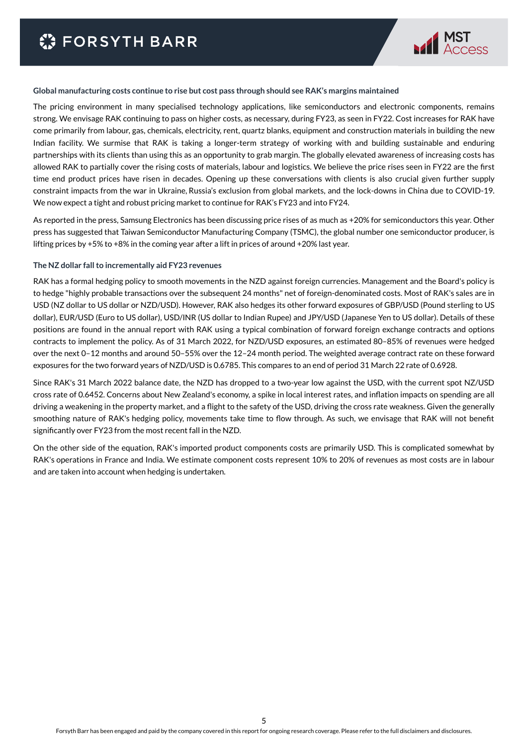

#### **Global manufacturing costs continue to rise but cost pass through should see RAK's margins maintained**

The pricing environment in many specialised technology applications, like semiconductors and electronic components, remains strong. We envisage RAK continuing to pass on higher costs, as necessary, during FY23, as seen in FY22. Cost increases for RAK have come primarily from labour, gas, chemicals, electricity, rent, quartz blanks, equipment and construction materials in building the new Indian facility. We surmise that RAK is taking a longer-term strategy of working with and building sustainable and enduring partnerships with its clients than using this as an opportunity to grab margin. The globally elevated awareness of increasing costs has allowed RAK to partially cover the rising costs of materials, labour and logistics. We believe the price rises seen in FY22 are the first time end product prices have risen in decades. Opening up these conversations with clients is also crucial given further supply constraint impacts from the war in Ukraine, Russia's exclusion from global markets, and the lock-downs in China due to COVID-19. We now expect a tight and robust pricing market to continue for RAK's FY23 and into FY24.

As reported in the press, Samsung Electronics has been discussing price rises of as much as +20% for semiconductors this year. Other press has suggested that Taiwan Semiconductor Manufacturing Company (TSMC), the global number one semiconductor producer, is lifting prices by +5% to +8% in the coming year after a lift in prices of around +20% last year.

#### **The NZ dollar fall to incrementally aid FY23 revenues**

RAK has a formal hedging policy to smooth movements in the NZD against foreign currencies. Management and the Board's policy is to hedge "highly probable transactions over the subsequent 24 months" net of foreign-denominated costs. Most of RAK's sales are in USD (NZ dollar to US dollar or NZD/USD). However, RAK also hedges its other forward exposures of GBP/USD (Pound sterling to US dollar), EUR/USD (Euro to US dollar), USD/INR (US dollar to Indian Rupee) and JPY/USD (Japanese Yen to US dollar). Details of these positions are found in the annual report with RAK using a typical combination of forward foreign exchange contracts and options contracts to implement the policy. As of 31 March 2022, for NZD/USD exposures, an estimated 80–85% of revenues were hedged over the next 0–12 months and around 50–55% over the 12–24 month period. The weighted average contract rate on these forward exposures for the two forward years of NZD/USD is 0.6785. This compares to an end of period 31 March 22 rate of 0.6928.

Since RAK's 31 March 2022 balance date, the NZD has dropped to a two-year low against the USD, with the current spot NZ/USD cross rate of 0.6452. Concerns about New Zealand's economy, a spike in local interest rates, and inflation impacts on spending are all driving a weakening in the property market, and a flight to the safety of the USD, driving the cross rate weakness. Given the generally smoothing nature of RAK's hedging policy, movements take time to flow through. As such, we envisage that RAK will not benefit significantly over FY23 from the most recent fall in the NZD.

On the other side of the equation, RAK's imported product components costs are primarily USD. This is complicated somewhat by RAK's operations in France and India. We estimate component costs represent 10% to 20% of revenues as most costs are in labour and are taken into account when hedging is undertaken.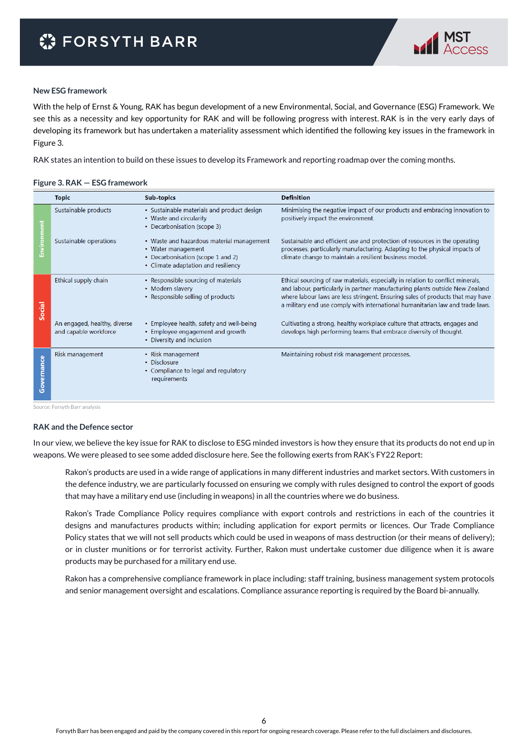

#### **New ESG framework**

With the help of Ernst & Young, RAK has begun development of a new Environmental, Social, and Governance (ESG) Framework. We see this as a necessity and key opportunity for RAK and will be following progress with interest. RAK is in the very early days of developing its framework but has undertaken a materiality assessment which identified the following key issues in the framework in Figure 3.

RAK states an intention to build on these issues to develop its Framework and reporting roadmap over the coming months.

#### **Figure 3. RAK — ESG framework**

|            | <b>Topic</b>                                          | <b>Sub-topics</b>                                                                                                                           | <b>Definition</b>                                                                                                                                                                                                                                                                                                                  |
|------------|-------------------------------------------------------|---------------------------------------------------------------------------------------------------------------------------------------------|------------------------------------------------------------------------------------------------------------------------------------------------------------------------------------------------------------------------------------------------------------------------------------------------------------------------------------|
|            | Sustainable products                                  | • Sustainable materials and product design<br>• Waste and circularity<br>• Decarbonisation (scope 3)                                        | Minimising the negative impact of our products and embracing innovation to<br>positively impact the environment.                                                                                                                                                                                                                   |
| ē          | Sustainable operations                                | • Waste and hazardous material management<br>• Water management<br>• Decarbonisation (scope 1 and 2)<br>• Climate adaptation and resiliency | Sustainable and efficient use and protection of resources in the operating<br>processes, particularly manufacturing. Adapting to the physical impacts of<br>climate change to maintain a resilient business model.                                                                                                                 |
| Social     | Ethical supply chain                                  | • Responsible sourcing of materials<br>• Modern slavery<br>• Responsible selling of products                                                | Ethical sourcing of raw materials, especially in relation to conflict minerals,<br>and labour, particularly in partner manufacturing plants outside New Zealand<br>where labour laws are less stringent. Ensuring sales of products that may have<br>a military end use comply with international humanitarian law and trade laws. |
|            | An engaged, healthy, diverse<br>and capable workforce | • Employee health, safety and well-being<br>• Employee engagement and growth<br>• Diversity and inclusion                                   | Cultivating a strong, healthy workplace culture that attracts, engages and<br>develops high performing teams that embrace diversity of thought.                                                                                                                                                                                    |
| Governance | Risk management                                       | • Risk management<br>• Disclosure<br>• Compliance to legal and regulatory<br>requirements                                                   | Maintaining robust risk management processes.                                                                                                                                                                                                                                                                                      |

Source: Forsyth Barr analysis

#### **RAK and the Defence sector**

In our view, we believe the key issue for RAK to disclose to ESG minded investors is how they ensure that its products do not end up in weapons. We were pleased to see some added disclosure here. See the following exerts from RAK's FY22 Report:

Rakon's products are used in a wide range of applications in many different industries and market sectors. With customers in the defence industry, we are particularly focussed on ensuring we comply with rules designed to control the export of goods that may have a military end use (including in weapons) in all the countries where we do business.

Rakon's Trade Compliance Policy requires compliance with export controls and restrictions in each of the countries it designs and manufactures products within; including application for export permits or licences. Our Trade Compliance Policy states that we will not sell products which could be used in weapons of mass destruction (or their means of delivery); or in cluster munitions or for terrorist activity. Further, Rakon must undertake customer due diligence when it is aware products may be purchased for a military end use.

Rakon has a comprehensive compliance framework in place including: staff training, business management system protocols and senior management oversight and escalations. Compliance assurance reporting is required by the Board bi-annually.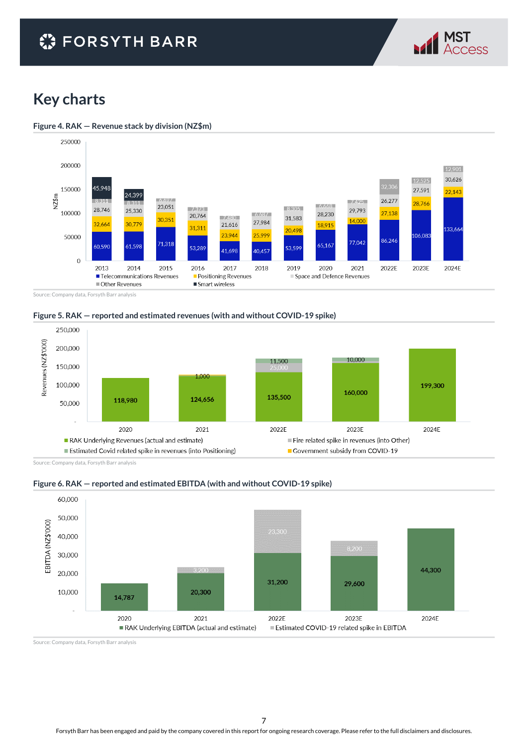## **C** FORSYTH BARR



### **Key charts**





Source: Company data, Forsyth Barr analysis





Source: Company data, Forsyth Barr analysis





Source: Company data, Forsyth Barr analysis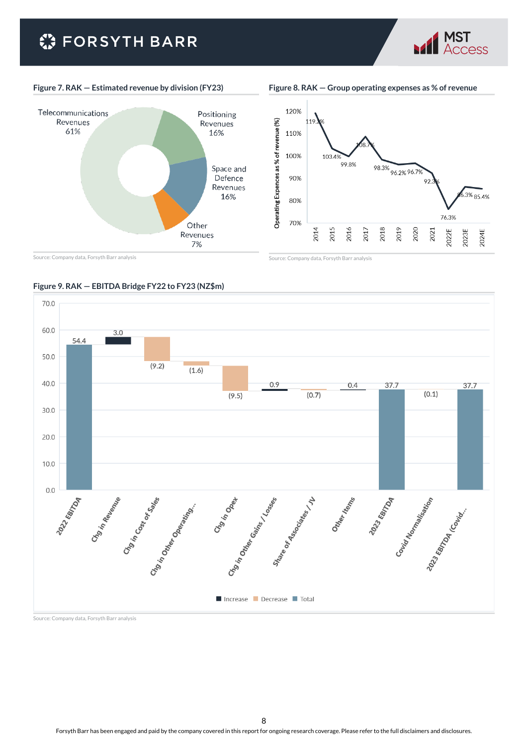# **C** FORSYTH BARR



**Figure 8. RAK — Group operating expenses as % of revenue**

MST



120% 110% 100% 103.49 98.3% 96.2% 96.7% 99.8% 90% 92.  $.3\%$  85.4% 80% 76.3% 70% 2018 2014 2015 2016 2017 2019 2020 2022E 2024E 2021 2023E

Source: Company data, Forsyth Barr analysis

Source: Company data, Forsyth Barr analysis



#### **Figure 9. RAK — EBITDA Bridge FY22 to FY23 (NZ\$m)**

Source: Company data, Forsyth Barr analysis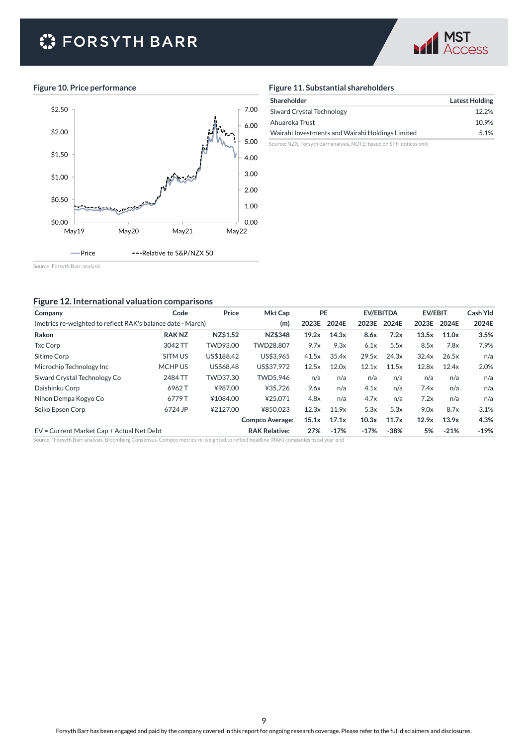# **C** FORSYTH BARR



#### **Figure 10. Price performance**



#### **Figure 11. Substantial shareholders**

| Shareholder                                      | <b>Latest Holding</b> |
|--------------------------------------------------|-----------------------|
| Siward Crystal Technology                        | 12.2%                 |
| Ahuareka Trust                                   | 10.9%                 |
| Wairahi Investments and Wairahi Holdings Limited | 5.1%                  |

Source: NZX, Forsyth Barr analysis, NOTE: based on SPH notices only

Source: Forsyth Barr analysis

#### **Figure 12. International valuation comparisons**

| Company                                                                                                                             | Code         | Price                | <b>Mkt Cap</b>         | <b>PE</b> |        |        | <b>EV/EBITDA</b> | <b>EV/EBIT</b> |        | Cash Yld |
|-------------------------------------------------------------------------------------------------------------------------------------|--------------|----------------------|------------------------|-----------|--------|--------|------------------|----------------|--------|----------|
| (metrics re-weighted to reflect RAK's balance date - March)                                                                         |              |                      | (m)                    | 2023E     | 2024E  | 2023E  | 2024E            | 2023E          | 2024E  | 2024E    |
| Rakon                                                                                                                               | <b>RAKNZ</b> | NZ\$1.52             | NZ\$348                | 19.2x     | 14.3x  | 8.6x   | 7.2x             | 13.5x          | 11.0x  | 3.5%     |
| <b>Txc Corp</b>                                                                                                                     | 3042 TT      | TWD93.00             | TWD28.807              | 9.7x      | 9.3x   | 6.1x   | 5.5x             | 8.5x           | 7.8x   | 7.9%     |
| Sitime Corp                                                                                                                         | SITM US      | US\$188.42           | US\$3,965              | 41.5x     | 35.4x  | 29.5x  | 24.3x            | 32.4x          | 26.5x  | n/a      |
| Microchip Technology Inc                                                                                                            | MCHP US      | US\$68.48            | US\$37.972             | 12.5x     | 12.0x  | 12.1x  | 11.5x            | 12.8x          | 12.4x  | 2.0%     |
| Siward Crystal Technology Co                                                                                                        | 2484 TT      | TWD37.30             | TWD5.946               | n/a       | n/a    | n/a    | n/a              | n/a            | n/a    | n/a      |
| Daishinku Corp                                                                                                                      | 6962T        | ¥987.00              | ¥35.726                | 9.6x      | n/a    | 4.1x   | n/a              | 7.4x           | n/a    | n/a      |
| Nihon Dempa Kogyo Co                                                                                                                | 6779T        | ¥1084.00             | ¥25.071                | 4.8x      | n/a    | 4.7x   | n/a              | 7.2x           | n/a    | n/a      |
| Seiko Epson Corp                                                                                                                    | 6724 JP      | ¥2127.00             | ¥850.023               | 12.3x     | 11.9x  | 5.3x   | 5.3x             | 9.0x           | 8.7x   | 3.1%     |
|                                                                                                                                     |              |                      | <b>Compco Average:</b> | 15.1x     | 17.1x  | 10.3x  | 11.7x            | 12.9x          | 13.9x  | 4.3%     |
| EV = Current Market Cap + Actual Net Debt                                                                                           |              | <b>RAK Relative:</b> | 27%                    | $-17%$    | $-17%$ | $-38%$ | 5%               | $-21%$         | $-19%$ |          |
| Source: *Forsyth Barr analysis, Bloomberg Consensus, Compco metrics re-weighted to reflect headline (RAK) companies fiscal year end |              |                      |                        |           |        |        |                  |                |        |          |